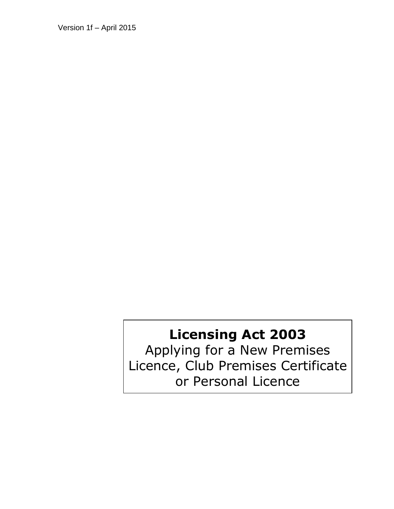Version 1f – April 2015

# **Licensing Act 2003**

Applying for a New Premises Licence, Club Premises Certificate or Personal Licence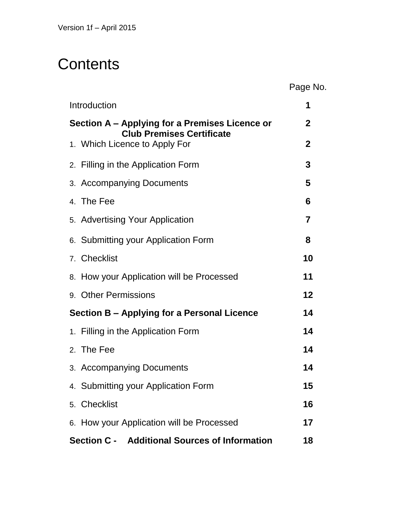# **Contents**

Page No.

| Introduction                                                                       | 1              |
|------------------------------------------------------------------------------------|----------------|
| Section A – Applying for a Premises Licence or<br><b>Club Premises Certificate</b> |                |
| 1. Which Licence to Apply For                                                      | $\overline{2}$ |
| 2. Filling in the Application Form                                                 | 3              |
| 3. Accompanying Documents                                                          | 5              |
| 4. The Fee                                                                         | 6              |
| 5. Advertising Your Application                                                    | 7              |
| 6. Submitting your Application Form                                                | 8              |
| 7. Checklist                                                                       | 10             |
| 8. How your Application will be Processed                                          | 11             |
| 9. Other Permissions                                                               | 12             |
| Section B – Applying for a Personal Licence                                        | 14             |
| 1. Filling in the Application Form                                                 | 14             |
| 2. The Fee                                                                         | 14             |
| 3. Accompanying Documents                                                          | 14             |
| 4. Submitting your Application Form                                                | 15             |
| 5. Checklist                                                                       | 16             |
| 6. How your Application will be Processed                                          | 17             |
| Section C - Additional Sources of Information                                      | 18             |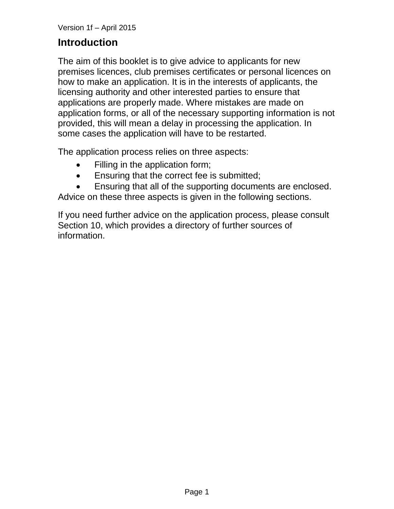## **Introduction**

The aim of this booklet is to give advice to applicants for new premises licences, club premises certificates or personal licences on how to make an application. It is in the interests of applicants, the licensing authority and other interested parties to ensure that applications are properly made. Where mistakes are made on application forms, or all of the necessary supporting information is not provided, this will mean a delay in processing the application. In some cases the application will have to be restarted.

The application process relies on three aspects:

- Filling in the application form;
- **Ensuring that the correct fee is submitted;**
- Ensuring that all of the supporting documents are enclosed.

Advice on these three aspects is given in the following sections.

If you need further advice on the application process, please consult Section 10, which provides a directory of further sources of information.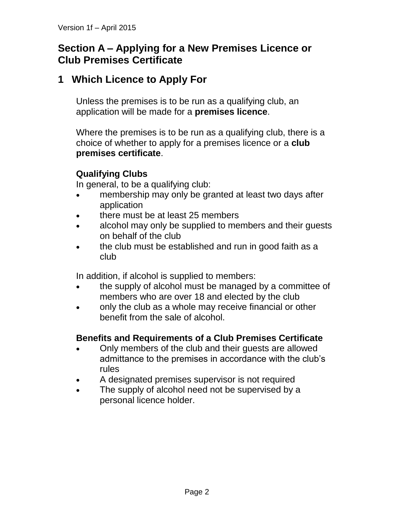## **Section A – Applying for a New Premises Licence or Club Premises Certificate**

## **1 Which Licence to Apply For**

Unless the premises is to be run as a qualifying club, an application will be made for a **premises licence**.

Where the premises is to be run as a qualifying club, there is a choice of whether to apply for a premises licence or a **club premises certificate**.

## **Qualifying Clubs**

In general, to be a qualifying club:

- membership may only be granted at least two days after application
- there must be at least 25 members
- alcohol may only be supplied to members and their guests on behalf of the club
- the club must be established and run in good faith as a club

In addition, if alcohol is supplied to members:

- the supply of alcohol must be managed by a committee of members who are over 18 and elected by the club
- only the club as a whole may receive financial or other benefit from the sale of alcohol.

#### **Benefits and Requirements of a Club Premises Certificate**

- Only members of the club and their guests are allowed admittance to the premises in accordance with the club's rules
- A designated premises supervisor is not required
- The supply of alcohol need not be supervised by a personal licence holder.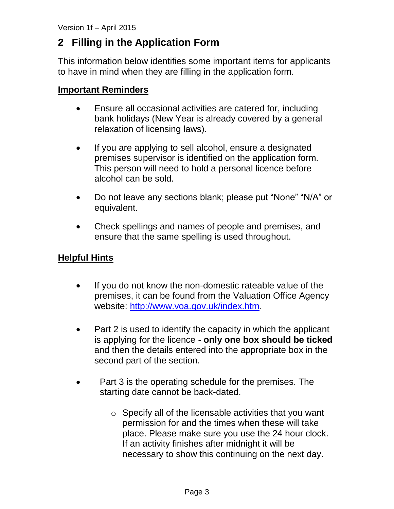# **2 Filling in the Application Form**

This information below identifies some important items for applicants to have in mind when they are filling in the application form.

#### **Important Reminders**

- Ensure all occasional activities are catered for, including bank holidays (New Year is already covered by a general relaxation of licensing laws).
- If you are applying to sell alcohol, ensure a designated premises supervisor is identified on the application form. This person will need to hold a personal licence before alcohol can be sold.
- Do not leave any sections blank; please put "None" "N/A" or equivalent.
- Check spellings and names of people and premises, and ensure that the same spelling is used throughout.

### **Helpful Hints**

- If you do not know the non-domestic rateable value of the premises, it can be found from the Valuation Office Agency website: [http://www.voa.gov.uk/index.htm.](http://www.voa.gov.uk/index.htm)
- Part 2 is used to identify the capacity in which the applicant is applying for the licence - **only one box should be ticked** and then the details entered into the appropriate box in the second part of the section.
- Part 3 is the operating schedule for the premises. The starting date cannot be back-dated.
	- o Specify all of the licensable activities that you want permission for and the times when these will take place. Please make sure you use the 24 hour clock. If an activity finishes after midnight it will be necessary to show this continuing on the next day.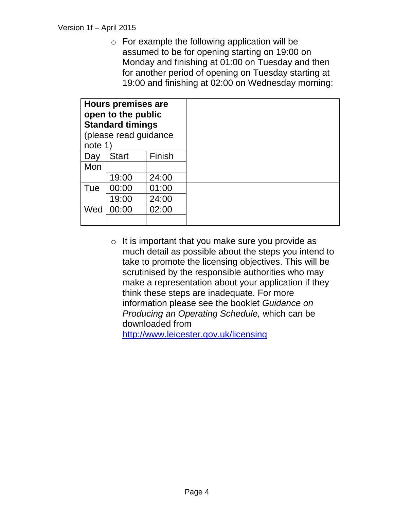o For example the following application will be assumed to be for opening starting on 19:00 on Monday and finishing at 01:00 on Tuesday and then for another period of opening on Tuesday starting at 19:00 and finishing at 02:00 on Wednesday morning:

| <b>Hours premises are</b><br>open to the public<br><b>Standard timings</b><br>(please read guidance<br>note 1) |              |        |
|----------------------------------------------------------------------------------------------------------------|--------------|--------|
| Day                                                                                                            | <b>Start</b> | Finish |
| Mon                                                                                                            |              |        |
|                                                                                                                | 19:00        | 24:00  |
| Tue                                                                                                            | 00:00        | 01:00  |
|                                                                                                                | 19:00        | 24:00  |
| Wed                                                                                                            | 00:00        | 02:00  |
|                                                                                                                |              |        |

 $\circ$  It is important that you make sure you provide as much detail as possible about the steps you intend to take to promote the licensing objectives. This will be scrutinised by the responsible authorities who may make a representation about your application if they think these steps are inadequate. For more information please see the booklet *Guidance on Producing an Operating Schedule,* which can be downloaded from

<http://www.leicester.gov.uk/licensing>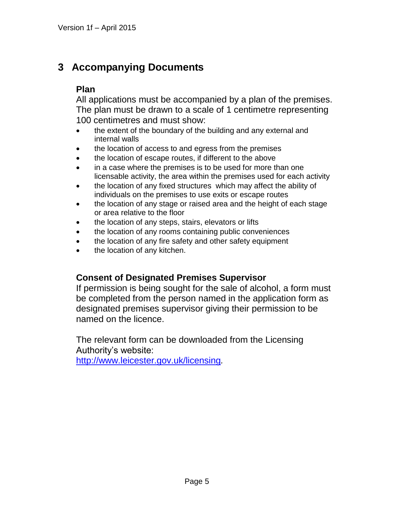## **3 Accompanying Documents**

### **Plan**

All applications must be accompanied by a plan of the premises. The plan must be drawn to a scale of 1 centimetre representing 100 centimetres and must show:

- the extent of the boundary of the building and any external and internal walls
- the location of access to and egress from the premises
- the location of escape routes, if different to the above
- in a case where the premises is to be used for more than one licensable activity, the area within the premises used for each activity
- the location of any fixed structures which may affect the ability of individuals on the premises to use exits or escape routes
- the location of any stage or raised area and the height of each stage or area relative to the floor
- the location of any steps, stairs, elevators or lifts
- the location of any rooms containing public conveniences
- the location of any fire safety and other safety equipment
- the location of any kitchen.

#### **Consent of Designated Premises Supervisor**

If permission is being sought for the sale of alcohol, a form must be completed from the person named in the application form as designated premises supervisor giving their permission to be named on the licence.

The relevant form can be downloaded from the Licensing Authority's website:

<http://www.leicester.gov.uk/licensing>*.*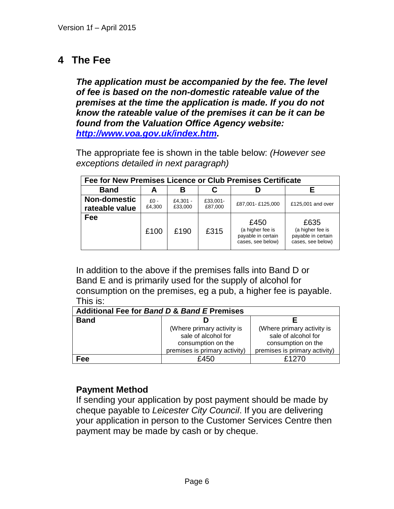## **4 The Fee**

*The application must be accompanied by the fee. The level of fee is based on the non-domestic rateable value of the premises at the time the application is made. If you do not know the rateable value of the premises it can be it can be found from the Valuation Office Agency website: [http://www.voa.gov.uk/index.htm.](http://www.voa.gov.uk/index.htm)*

The appropriate fee is shown in the table below: *(However see exceptions detailed in next paragraph)*

| Fee for New Premises Licence or Club Premises Certificate |        |          |          |                                                                     |                                                                     |
|-----------------------------------------------------------|--------|----------|----------|---------------------------------------------------------------------|---------------------------------------------------------------------|
| <b>Band</b>                                               | A      | В        |          |                                                                     |                                                                     |
| <b>Non-domestic</b>                                       | $£0 -$ | £4.301 - | £33,001- | £87,001-£125,000                                                    | £125,001 and over                                                   |
| rateable value                                            | £4,300 | £33,000  | £87,000  |                                                                     |                                                                     |
| Fee                                                       | £100   | £190     | £315     | £450<br>(a higher fee is<br>payable in certain<br>cases, see below) | £635<br>(a higher fee is<br>payable in certain<br>cases, see below) |

In addition to the above if the premises falls into Band D or Band E and is primarily used for the supply of alcohol for consumption on the premises, eg a pub, a higher fee is payable. This is:

| <b>Additional Fee for Band D &amp; Band E Premises</b> |                                                                                                          |                                                                                                          |  |  |  |
|--------------------------------------------------------|----------------------------------------------------------------------------------------------------------|----------------------------------------------------------------------------------------------------------|--|--|--|
| <b>Band</b>                                            |                                                                                                          |                                                                                                          |  |  |  |
|                                                        | (Where primary activity is<br>sale of alcohol for<br>consumption on the<br>premises is primary activity) | (Where primary activity is<br>sale of alcohol for<br>consumption on the<br>premises is primary activity) |  |  |  |
| Fee                                                    | £450                                                                                                     | £1270                                                                                                    |  |  |  |

#### **Payment Method**

If sending your application by post payment should be made by cheque payable to *Leicester City Council*. If you are delivering your application in person to the Customer Services Centre then payment may be made by cash or by cheque.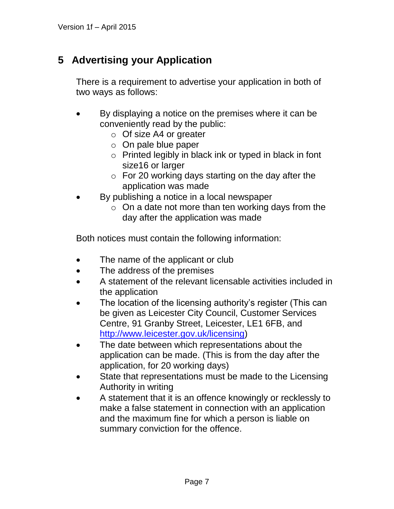# **5 Advertising your Application**

There is a requirement to advertise your application in both of two ways as follows:

- By displaying a notice on the premises where it can be conveniently read by the public:
	- o Of size A4 or greater
	- $\circ$  On pale blue paper
	- o Printed legibly in black ink or typed in black in font size16 or larger
	- $\circ$  For 20 working days starting on the day after the application was made
- By publishing a notice in a local newspaper
	- $\circ$  On a date not more than ten working days from the day after the application was made

Both notices must contain the following information:

- The name of the applicant or club
- The address of the premises
- A statement of the relevant licensable activities included in the application
- The location of the licensing authority's register (This can be given as Leicester City Council, Customer Services Centre, 91 Granby Street, Leicester, LE1 6FB, and [http://www.leicester.gov.uk/licensing\)](http://www.leicester.gov.uk/licensing)
- The date between which representations about the application can be made. (This is from the day after the application, for 20 working days)
- State that representations must be made to the Licensing Authority in writing
- A statement that it is an offence knowingly or recklessly to make a false statement in connection with an application and the maximum fine for which a person is liable on summary conviction for the offence.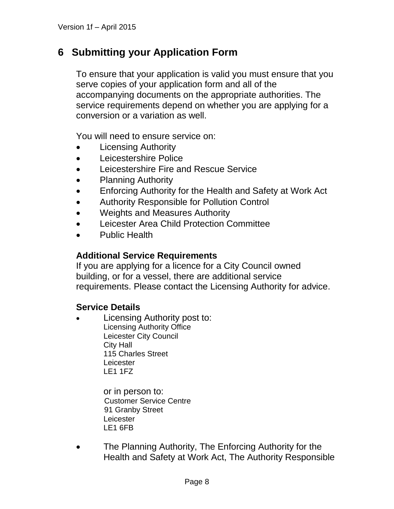## **6 Submitting your Application Form**

To ensure that your application is valid you must ensure that you serve copies of your application form and all of the accompanying documents on the appropriate authorities. The service requirements depend on whether you are applying for a conversion or a variation as well.

You will need to ensure service on:

- Licensing Authority
- Leicestershire Police
- Leicestershire Fire and Rescue Service
- Planning Authority
- Enforcing Authority for the Health and Safety at Work Act
- Authority Responsible for Pollution Control
- Weights and Measures Authority
- Leicester Area Child Protection Committee
- Public Health

#### **Additional Service Requirements**

If you are applying for a licence for a City Council owned building, or for a vessel, there are additional service requirements. Please contact the Licensing Authority for advice.

#### **Service Details**

 Licensing Authority post to: Licensing Authority Office Leicester City Council City Hall 115 Charles Street **Leicester** LE1 1FZ

> or in person to: Customer Service Centre 91 Granby Street Leicester LE1 6FB

• The Planning Authority, The Enforcing Authority for the Health and Safety at Work Act, The Authority Responsible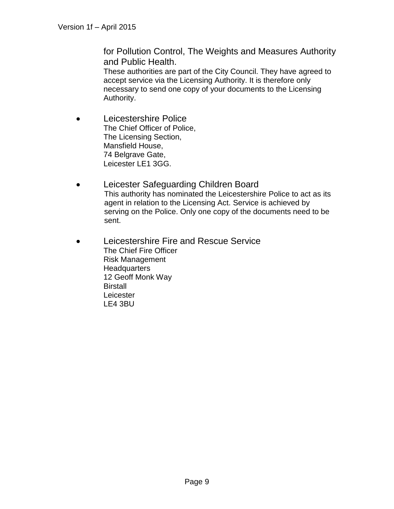for Pollution Control, The Weights and Measures Authority and Public Health.

These authorities are part of the City Council. They have agreed to accept service via the Licensing Authority. It is therefore only necessary to send one copy of your documents to the Licensing Authority.

- Leicestershire Police The Chief Officer of Police, The Licensing Section, Mansfield House, 74 Belgrave Gate, Leicester LE1 3GG.
- Leicester Safeguarding Children Board This authority has nominated the Leicestershire Police to act as its agent in relation to the Licensing Act. Service is achieved by serving on the Police. Only one copy of the documents need to be sent.
- Leicestershire Fire and Rescue Service The Chief Fire Officer Risk Management **Headquarters** 12 Geoff Monk Way **Birstall Leicester** LE4 3BU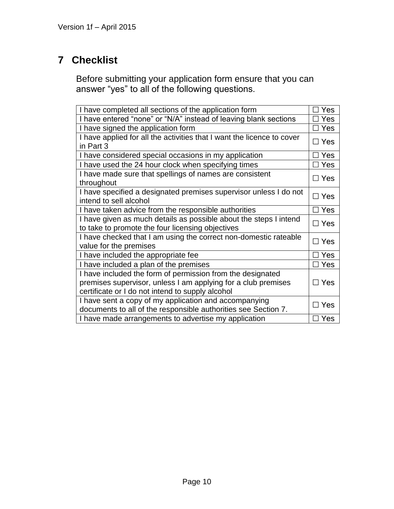# **7 Checklist**

Before submitting your application form ensure that you can answer "yes" to all of the following questions.

| I have completed all sections of the application form                  | Yes        |  |  |
|------------------------------------------------------------------------|------------|--|--|
| I have entered "none" or "N/A" instead of leaving blank sections       | Yes        |  |  |
| I have signed the application form                                     | Yes        |  |  |
| I have applied for all the activities that I want the licence to cover | $\Box$ Yes |  |  |
| in Part 3                                                              |            |  |  |
| I have considered special occasions in my application                  | Yes        |  |  |
| I have used the 24 hour clock when specifying times                    | Yes        |  |  |
| I have made sure that spellings of names are consistent                | $\Box$ Yes |  |  |
| throughout                                                             |            |  |  |
| I have specified a designated premises supervisor unless I do not      | $\Box$ Yes |  |  |
| intend to sell alcohol                                                 |            |  |  |
| I have taken advice from the responsible authorities                   | $\Box$ Yes |  |  |
| I have given as much details as possible about the steps I intend      | $\Box$ Yes |  |  |
| to take to promote the four licensing objectives                       |            |  |  |
| I have checked that I am using the correct non-domestic rateable       | $\Box$ Yes |  |  |
| value for the premises                                                 |            |  |  |
| I have included the appropriate fee                                    | Yes        |  |  |
| I have included a plan of the premises                                 | Yes        |  |  |
| I have included the form of permission from the designated             |            |  |  |
| premises supervisor, unless I am applying for a club premises          | $\Box$ Yes |  |  |
| certificate or I do not intend to supply alcohol                       |            |  |  |
| I have sent a copy of my application and accompanying                  |            |  |  |
| documents to all of the responsible authorities see Section 7.         | □ Yes      |  |  |
| I have made arrangements to advertise my application                   | $\Box$ Yes |  |  |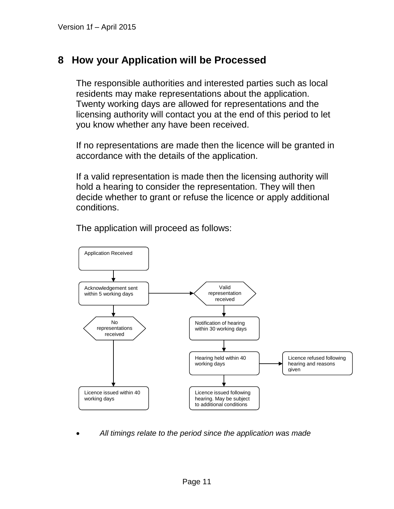## **8 How your Application will be Processed**

The responsible authorities and interested parties such as local residents may make representations about the application. Twenty working days are allowed for representations and the licensing authority will contact you at the end of this period to let you know whether any have been received.

If no representations are made then the licence will be granted in accordance with the details of the application.

If a valid representation is made then the licensing authority will hold a hearing to consider the representation. They will then decide whether to grant or refuse the licence or apply additional conditions.



The application will proceed as follows:

*All timings relate to the period since the application was made*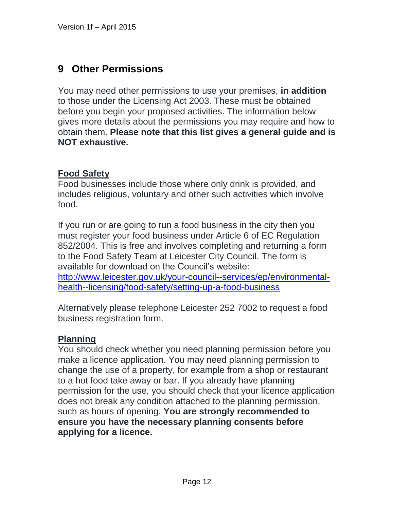## **9 Other Permissions**

You may need other permissions to use your premises, **in addition** to those under the Licensing Act 2003. These must be obtained before you begin your proposed activities. The information below gives more details about the permissions you may require and how to obtain them. **Please note that this list gives a general guide and is NOT exhaustive.**

### **Food Safety**

Food businesses include those where only drink is provided, and includes religious, voluntary and other such activities which involve food.

If you run or are going to run a food business in the city then you must register your food business under Article 6 of EC Regulation 852/2004. This is free and involves completing and returning a form to the Food Safety Team at Leicester City Council. The form is available for download on the Council's website: http://www.leicester.gov.uk/your-council--services/ep/environmentalhealth--licensing/food-safety/setting-up-a-food-business

Alternatively please telephone Leicester 252 7002 to request a food business registration form.

## **Planning**

You should check whether you need planning permission before you make a licence application. You may need planning permission to change the use of a property, for example from a shop or restaurant to a hot food take away or bar. If you already have planning permission for the use, you should check that your licence application does not break any condition attached to the planning permission, such as hours of opening. **You are strongly recommended to ensure you have the necessary planning consents before applying for a licence.**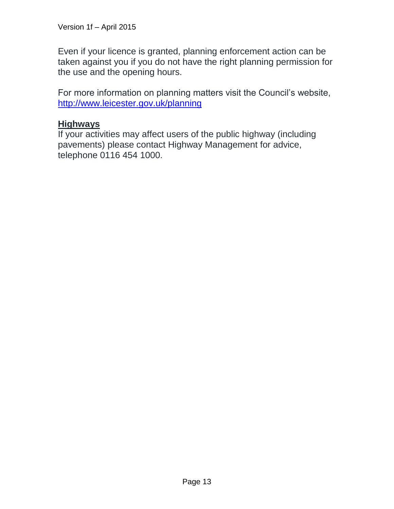Even if your licence is granted, planning enforcement action can be taken against you if you do not have the right planning permission for the use and the opening hours.

For more information on planning matters visit the Council's website, <http://www.leicester.gov.uk/planning>

### **Highways**

If your activities may affect users of the public highway (including pavements) please contact Highway Management for advice, telephone 0116 454 1000.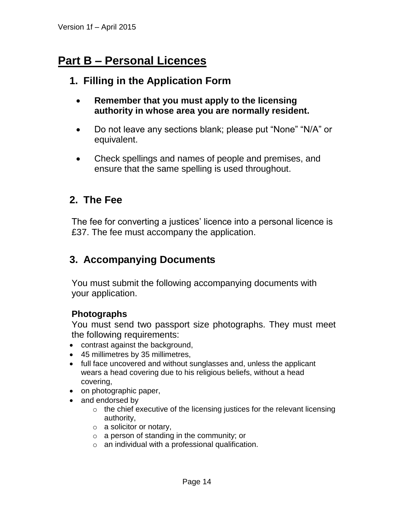# **Part B – Personal Licences**

## **1. Filling in the Application Form**

- **Remember that you must apply to the licensing authority in whose area you are normally resident.**
- Do not leave any sections blank; please put "None" "N/A" or equivalent.
- Check spellings and names of people and premises, and ensure that the same spelling is used throughout.

## **2. The Fee**

The fee for converting a justices' licence into a personal licence is £37. The fee must accompany the application.

## **3. Accompanying Documents**

You must submit the following accompanying documents with your application.

#### **Photographs**

You must send two passport size photographs. They must meet the following requirements:

- contrast against the background,
- 45 millimetres by 35 millimetres,
- full face uncovered and without sunglasses and, unless the applicant wears a head covering due to his religious beliefs, without a head covering,
- on photographic paper,
- and endorsed by
	- o the chief executive of the licensing justices for the relevant licensing authority,
	- o a solicitor or notary,
	- o a person of standing in the community; or
	- $\circ$  an individual with a professional qualification.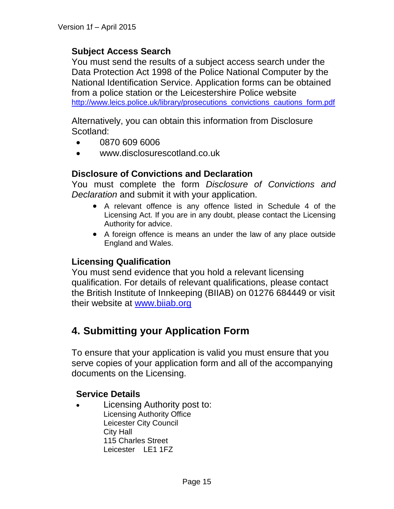#### **Subject Access Search**

You must send the results of a subject access search under the Data Protection Act 1998 of the Police National Computer by the National Identification Service. Application forms can be obtained from a police station or the Leicestershire Police website [http://www.leics.police.uk/library/prosecutions\\_convictions\\_cautions\\_form.pdf](http://www.leics.police.uk/library/prosecutions_convictions_cautions_form.pdf)

Alternatively, you can obtain this information from Disclosure Scotland:

- 0870 609 6006
- www.disclosurescotland.co.uk

#### **Disclosure of Convictions and Declaration**

You must complete the form *Disclosure of Convictions and Declaration* and submit it with your application.

- A relevant offence is any offence listed in Schedule 4 of the Licensing Act. If you are in any doubt, please contact the Licensing Authority for advice.
- A foreign offence is means an under the law of any place outside England and Wales.

#### **Licensing Qualification**

You must send evidence that you hold a relevant licensing qualification. For details of relevant qualifications, please contact the British Institute of Innkeeping (BIIAB) on 01276 684449 or visit their website at [www.biiab.org](http://www.biiab.org/)

## **4. Submitting your Application Form**

To ensure that your application is valid you must ensure that you serve copies of your application form and all of the accompanying documents on the Licensing.

#### **Service Details**

 Licensing Authority post to: Licensing Authority Office Leicester City Council City Hall 115 Charles Street Leicester LE1 1FZ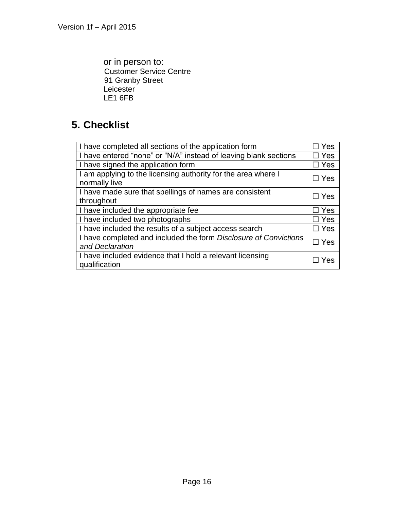or in person to: Customer Service Centre 91 Granby Street **Leicester** LE1 6FB

# **5. Checklist**

| I have completed all sections of the application form                               | Yes        |
|-------------------------------------------------------------------------------------|------------|
| I have entered "none" or "N/A" instead of leaving blank sections                    | Yes        |
| I have signed the application form                                                  | ∃ Yes      |
| I am applying to the licensing authority for the area where I<br>normally live      | $\Box$ Yes |
| I have made sure that spellings of names are consistent<br>throughout               | $\Box$ Yes |
| I have included the appropriate fee                                                 | $\Box$ Yes |
| I have included two photographs                                                     | $\Box$ Yes |
| I have included the results of a subject access search                              | Yes        |
| I have completed and included the form Disclosure of Convictions<br>and Declaration | Yes        |
| I have included evidence that I hold a relevant licensing<br>qualification          | Yes        |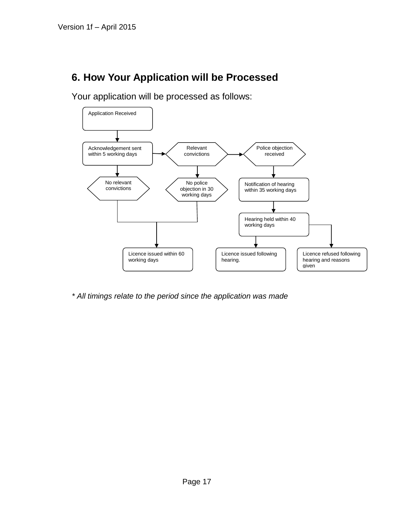# **6. How Your Application will be Processed**

Your application will be processed as follows:



*\* All timings relate to the period since the application was made*